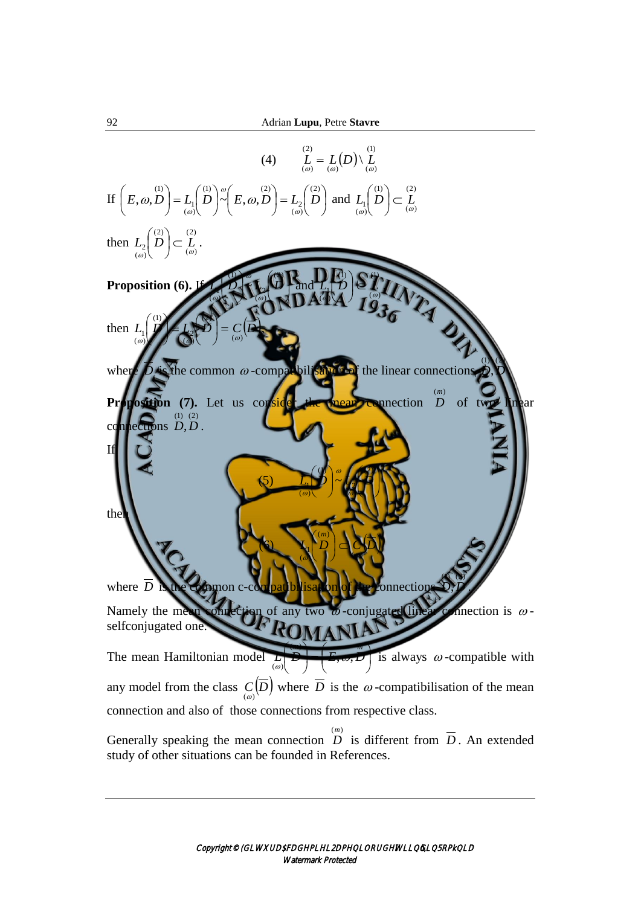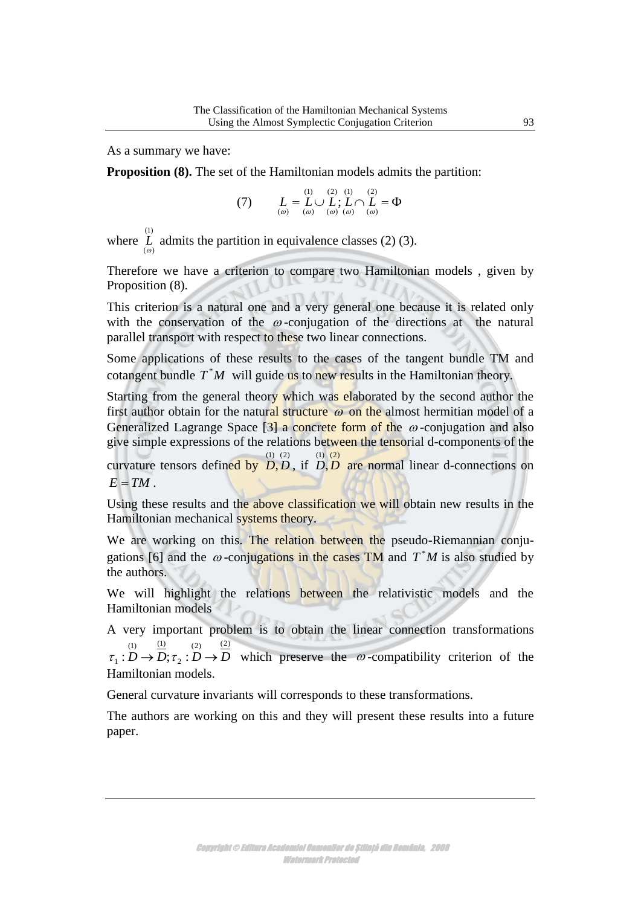As a summary we have:

**Proposition (8).** The set of the Hamiltonian models admits the partition:

(7) 
$$
L = L \cup L; L \cap L = \Phi
$$

$$
\sum_{(a)} \sum_{(a)} \sum_{(a)} \sum_{(b)} \sum_{(b)} \sum_{(c)} \sum_{(d)} \sum_{(d)} \sum_{(e)} \sum_{(b)} \sum_{(b)} \sum_{(c)} \sum_{(d)} \sum_{(b)} \sum_{(c)} \sum_{(d)} \sum_{(b)} \sum_{(b)} \sum_{(c)} \sum_{(d)} \sum_{(b)} \sum_{(c)} \sum_{(d)} \sum_{(b)} \sum_{(c)} \sum_{(d)} \sum_{(b)} \sum_{(c)} \sum_{(d)} \sum_{(d)} \sum_{(b)} \sum_{(b)} \sum_{(c)} \sum_{(d)} \sum_{(b)} \sum_{(c)} \sum_{(d)} \sum_{(b)} \sum_{(b)} \sum_{(c)} \sum_{(d)} \sum_{(d)} \sum_{(b)} \sum_{(c)} \sum_{(d)} \sum_{(d)} \sum_{(e)} \sum_{(b)} \sum_{(b)} \sum_{(b)} \sum_{(c)} \sum_{(d)} \sum_{(d)} \sum_{(b)} \sum_{(b)} \sum_{(c)} \sum_{(d)} \sum_{(d)} \sum_{(b)} \sum_{(b)} \sum_{(c)} \sum_{(d)} \sum_{(b)} \sum_{(d)} \sum_{(b)} \sum_{(b)} \sum_{(b)} \sum_{(c)} \sum_{(d)} \sum_{(d)} \sum_{(b)} \sum_{(c)} \sum_{(d)} \sum_{(d)} \sum_{(d)} \sum_{(d)} \sum_{(d)} \sum_{(d)} \sum_{(e)} \sum_{(e)} \sum_{(b)} \sum_{(d)} \sum_{(b)} \sum_{(b)} \sum_{(b)} \sum_{(d)} \sum_{(b)} \sum_{(b)} \sum_{(b)} \sum_{(c)} \sum_{(d)} \sum_{(b)} \sum_{(d)} \sum_{(b)} \sum_{(c)} \sum_{(d)} \sum_{(b)} \sum_{(c)} \sum_{(d)} \sum_{(d)} \sum_{(b)} \sum_{(d)} \sum_{(d)} \sum_{(b)} \sum_{(b)} \sum_{(d)} \sum_{(b)} \sum_{(d)} \sum_{(b)} \sum_{(d)} \sum_{(b)} \sum_{(d)} \sum_{(b)} \sum_{(d)} \sum_{(b)} \sum_{(d)} \sum_{(b)} \sum_{(d)} \sum_{(b)} \sum_{(d)} \sum_{(b)} \sum_{(b)} \sum_{
$$

where  $\overline{L}^{(1)}$  $L$  admits the partition in equivalence classes (2) (3).

Therefore we have a criterion to compare two Hamiltonian models , given by Proposition (8).

This criterion is a natural one and a very general one because it is related only with the conservation of the  $\omega$ -conjugation of the directions at the natural parallel transport with respect to these two linear connections.

Some applications of these results to the cases of the tangent bundle TM and cotangent bundle  $T^*M$  will guide us to new results in the Hamiltonian theory.

Starting from the general theory which was elaborated by the second author the first author obtain for the natural structure  $\omega$  on the almost hermitian model of a Generalized Lagrange Space  $\left[3\right]$  a concrete form of the  $\omega$ -conjugation and also give simple expressions of the relations between the tensorial d-components of the

curvature tensors defined by  $\overrightarrow{D}$ ,  $\overrightarrow{D}$ , if  $\overrightarrow{D}$ ,  $\overrightarrow{D}$  are normal linear d-connections on  $E = TM$ .

Using these results and the above classification we will obtain new results in the Hamiltonian mechanical systems theory.

We are working on this. The relation between the pseudo-Riemannian conjugations [6] and the  $\omega$ -conjugations in the cases TM and  $T^*M$  is also studied by the authors.

We will highlight the relations between the relativistic models and the Hamiltonian models

A very important problem is to obtain the linear connection transformations (2)  $(2)$ 2 (1)  $(1)$  $\tau_1: D \to D; \tau_2: D \to D$  which preserve the  $\omega$ -compatibility criterion of the Hamiltonian models.

General curvature invariants will corresponds to these transformations.

The authors are working on this and they will present these results into a future paper.